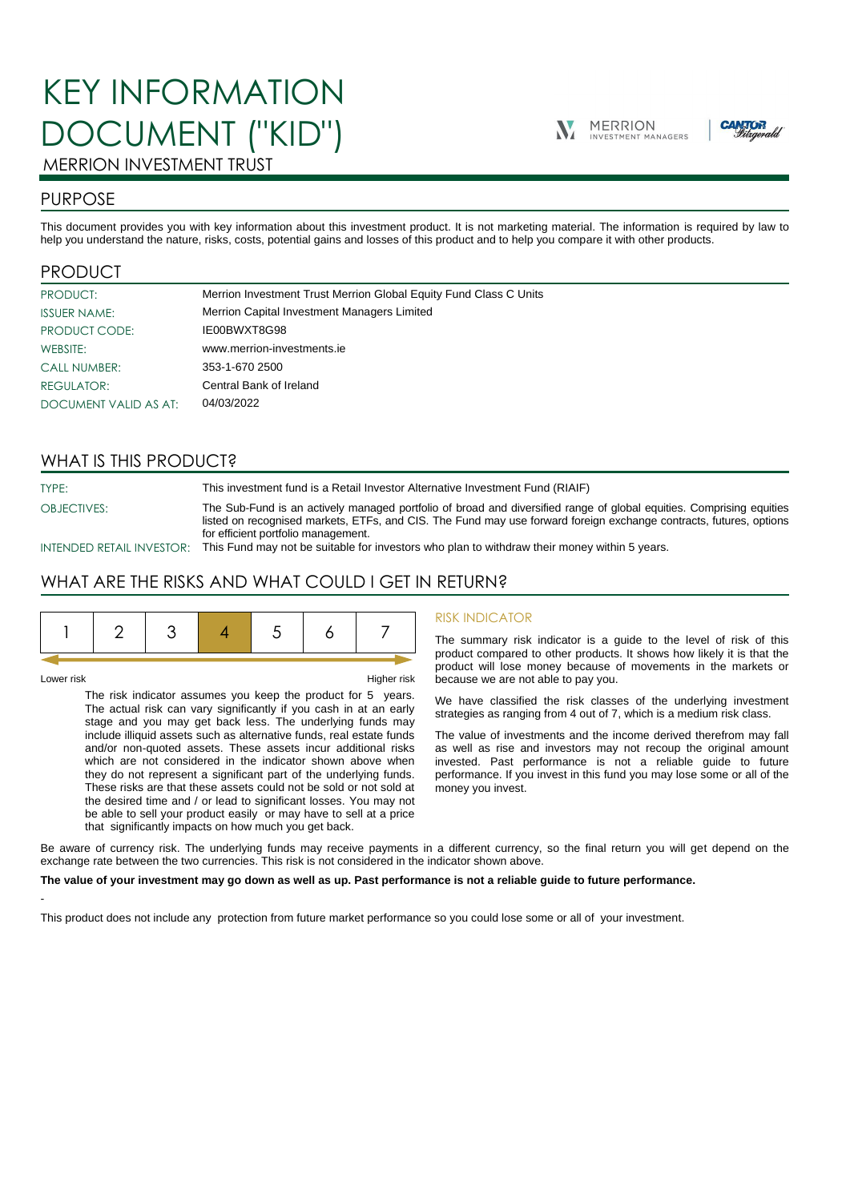# KEY INFORMATION DOCUMENT ("KID")





## MERRION INVESTMENT TRUST

## PURPOSE

This document provides you with key information about this investment product. It is not marketing material. The information is required by law to help you understand the nature, risks, costs, potential gains and losses of this product and to help you compare it with other products.

## PRODUCT

| PRODUCT:              | Merrion Investment Trust Merrion Global Equity Fund Class C Units |
|-----------------------|-------------------------------------------------------------------|
| <b>ISSUER NAME:</b>   | Merrion Capital Investment Managers Limited                       |
| PRODUCT CODE:         | IE00BWXT8G98                                                      |
| WEBSITE:              | www.merrion-investments.ie                                        |
| <b>CALL NUMBER:</b>   | 353-1-670 2500                                                    |
| <b>REGULATOR:</b>     | Central Bank of Ireland                                           |
| DOCUMENT VALID AS AT: | 04/03/2022                                                        |

## WHAT IS THIS PRODUCT?

TYPE: This investment fund is a Retail Investor Alternative Investment Fund (RIAIF)

OBJECTIVES: The Sub-Fund is an actively managed portfolio of broad and diversified range of global equities. Comprising equities listed on recognised markets, ETFs, and CIS. The Fund may use forward foreign exchange contracts, futures, options for efficient portfolio management.

INTENDED RETAIL INVESTOR: This Fund may not be suitable for investors who plan to withdraw their money within 5 years.

## WHAT ARE THE RISKS AND WHAT COULD I GET IN RETURN?



-

Lower risk Higher risk

The risk indicator assumes you keep the product for 5 years. The actual risk can vary significantly if you cash in at an early stage and you may get back less. The underlying funds may include illiquid assets such as alternative funds, real estate funds and/or non-quoted assets. These assets incur additional risks which are not considered in the indicator shown above when they do not represent a significant part of the underlying funds. These risks are that these assets could not be sold or not sold at the desired time and / or lead to significant losses. You may not be able to sell your product easily or may have to sell at a price that significantly impacts on how much you get back.

#### RISK INDICATOR

The summary risk indicator is a guide to the level of risk of this product compared to other products. It shows how likely it is that the product will lose money because of movements in the markets or because we are not able to pay you.

We have classified the risk classes of the underlying investment strategies as ranging from 4 out of 7, which is a medium risk class.

The value of investments and the income derived therefrom may fall as well as rise and investors may not recoup the original amount invested. Past performance is not a reliable guide to future performance. If you invest in this fund you may lose some or all of the money you invest.

Be aware of currency risk. The underlying funds may receive payments in a different currency, so the final return you will get depend on the exchange rate between the two currencies. This risk is not considered in the indicator shown above.

#### **The value of your investment may go down as well as up. Past performance is not a reliable guide to future performance.**

This product does not include any protection from future market performance so you could lose some or all of your investment.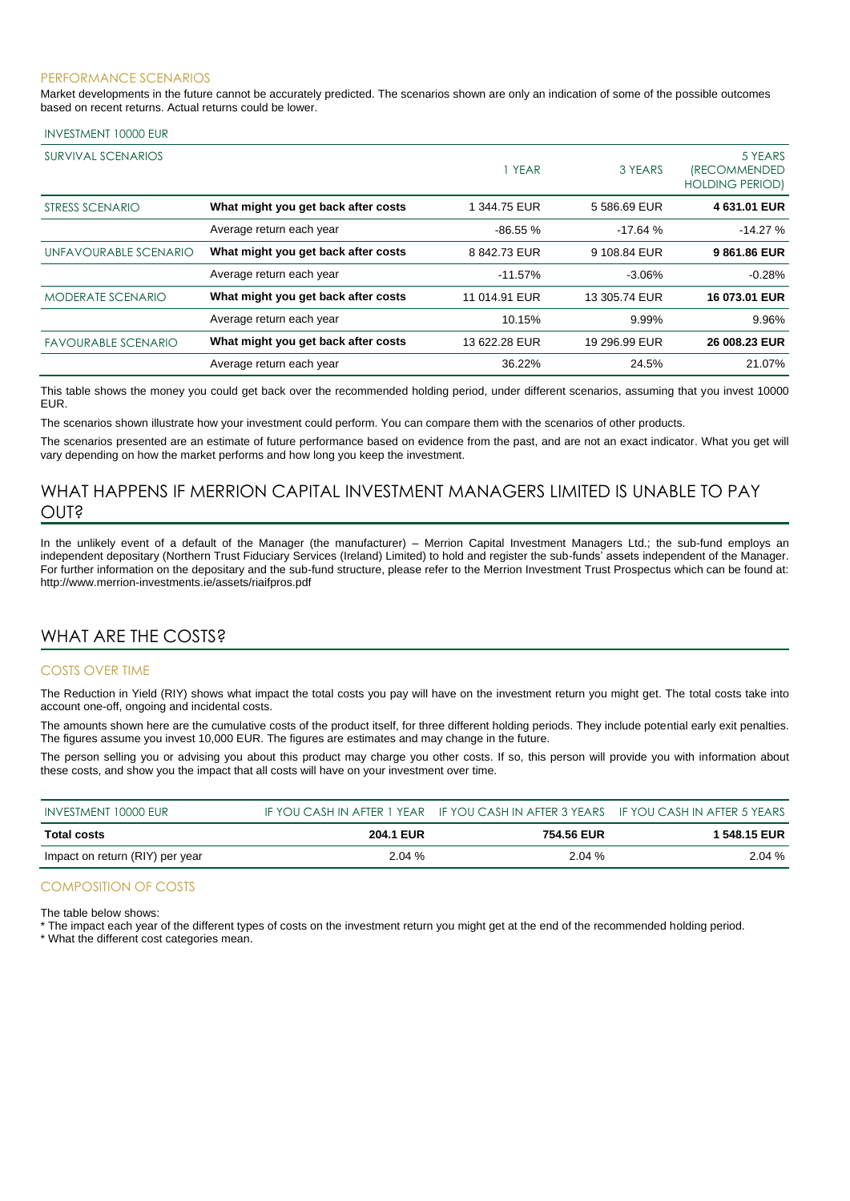#### PERFORMANCE SCENARIOS

Market developments in the future cannot be accurately predicted. The scenarios shown are only an indication of some of the possible outcomes based on recent returns. Actual returns could be lower.

#### INVESTMENT 10000 EUR

| SURVIVAL SCENARIOS         |                                     | 1 YEAR        | 3 YEARS       | 5 YEARS<br><i><b>IRECOMMENDED</b></i><br><b>HOLDING PERIOD)</b> |
|----------------------------|-------------------------------------|---------------|---------------|-----------------------------------------------------------------|
| STRESS SCENARIO            | What might you get back after costs | 1 344.75 EUR  | 5 586.69 EUR  | 4 631.01 EUR                                                    |
|                            | Average return each year            | $-86.55%$     | $-17.64%$     | $-14.27%$                                                       |
| UNFAVOURABLE SCENARIO      | What might you get back after costs | 8842.73 EUR   | 9 108.84 EUR  | 9861.86 EUR                                                     |
|                            | Average return each year            | $-11.57%$     | $-3.06%$      | $-0.28%$                                                        |
| <b>MODERATE SCENARIO</b>   | What might you get back after costs | 11 014.91 EUR | 13 305.74 EUR | 16 073.01 EUR                                                   |
|                            | Average return each year            | 10.15%        | 9.99%         | 9.96%                                                           |
| <b>FAVOURABLE SCENARIO</b> | What might you get back after costs | 13 622.28 EUR | 19 296.99 EUR | 26 008.23 EUR                                                   |
|                            | Average return each year            | 36.22%        | 24.5%         | 21.07%                                                          |

This table shows the money you could get back over the recommended holding period, under different scenarios, assuming that you invest 10000 EUR.

The scenarios shown illustrate how your investment could perform. You can compare them with the scenarios of other products.

The scenarios presented are an estimate of future performance based on evidence from the past, and are not an exact indicator. What you get will vary depending on how the market performs and how long you keep the investment.

## WHAT HAPPENS IF MERRION CAPITAL INVESTMENT MANAGERS LIMITED IS UNABLE TO PAY OUT?

In the unlikely event of a default of the Manager (the manufacturer) – Merrion Capital Investment Managers Ltd.; the sub-fund employs an independent depositary (Northern Trust Fiduciary Services (Ireland) Limited) to hold and register the sub-funds' assets independent of the Manager. For further information on the depositary and the sub-fund structure, please refer to the Merrion Investment Trust Prospectus which can be found at: http://www.merrion-investments.ie/assets/riaifpros.pdf

## WHAT ARE THE COSTS?

#### COSTS OVER TIME

The Reduction in Yield (RIY) shows what impact the total costs you pay will have on the investment return you might get. The total costs take into account one-off, ongoing and incidental costs.

The amounts shown here are the cumulative costs of the product itself, for three different holding periods. They include potential early exit penalties. The figures assume you invest 10,000 EUR. The figures are estimates and may change in the future.

The person selling you or advising you about this product may charge you other costs. If so, this person will provide you with information about these costs, and show you the impact that all costs will have on your investment over time.

| INVESTMENT 10000 EUR            |                  | IF YOU CASH IN AFTER 1 YEAR IF YOU CASH IN AFTER 3 YEARS IF YOU CASH IN AFTER 5 YEARS |                    |
|---------------------------------|------------------|---------------------------------------------------------------------------------------|--------------------|
| Total costs                     | <b>204.1 EUR</b> | 754.56 EUR                                                                            | <b>1548.15 EUR</b> |
| Impact on return (RIY) per year | $2.04\%$         | $2.04\%$                                                                              | 2.04%              |

#### COMPOSITION OF COSTS

The table below shows:

\* The impact each year of the different types of costs on the investment return you might get at the end of the recommended holding period.

\* What the different cost categories mean.